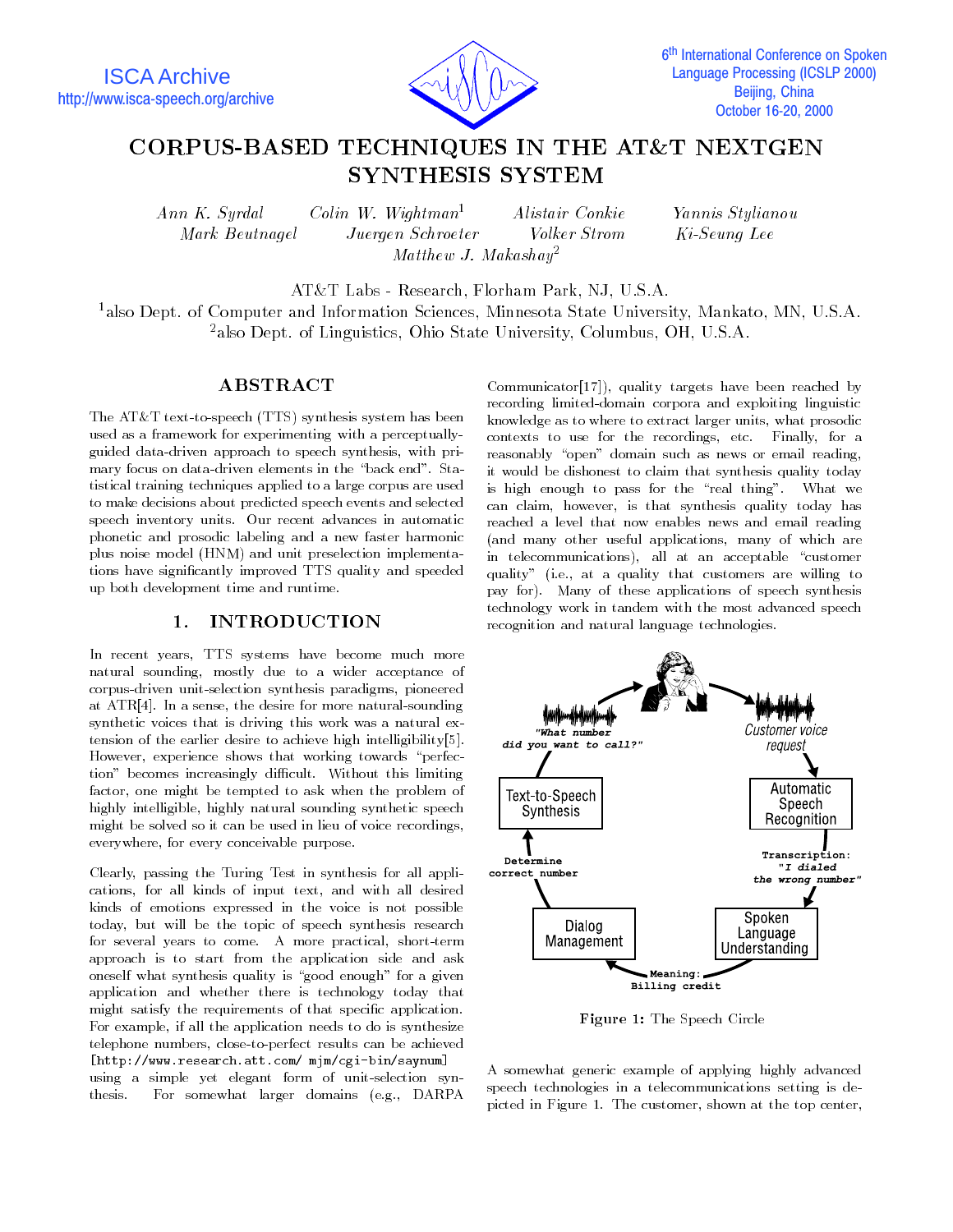

# CORPUS-BASED TECHNIQUES IN THE AT&T NEXTGEN SYNTHESIS SYSTEM

Mark Beutnagel

Ann K. Syrdal Colin W. Wightman1 Alistair Conkie Yannis Stylianou Juergen Schroeter *Volker Strom* Matthew J. Makashay2

Ki-Seuna Lee

AT&T Labs - Research, Florham Park, NJ, U.S.A.

<sup>1</sup>also Dept. of Computer and Information Sciences, Minnesota State University, Mankato, MN, U.S.A. <sup>2</sup>also Dept. of Linguistics, Ohio State University, Columbus, OH, U.S.A.

### ABSTRACT

The AT&T text-to-speech (TTS) synthesis system has been used as a framework for experimenting with a perceptuallyguided data-driven approach to speech synthesis, with primary focus on data-driven elements in the "back end". Statistical training techniques applied to a large corpus are used to make decisions about predicted speech events and selected speech inventory units. Our recent advances in automatic phonetic and prosodic labeling and a new faster harmonic plus noise model (HNM) and unit preselection implementations have signicantly improved TTS quality and speeded up both development time and runtime.

#### 1. INTRODUCTION  $\mathbf{1}$ .

In recent years, TTS systems have become much more natural sounding, mostly due to a wider acceptance of corpus-driven unit-selection synthesis paradigms, pioneered at ATR[4]. In a sense, the desire for more natural-sounding synthetic voices that is driving this work was a natural extension of the earlier desire to achieve high intelligibility[5 ]. However, experience shows that working towards "perfection" becomes increasingly difficult. Without this limiting factor, one might be tempted to ask when the problem of highly intelligible, highly natural sounding synthetic speech might be solved so it can be used in lieu of voice recordings, everywhere, for every conceivable purpose.

Clearly, passing the Turing Test in synthesis for all applications, for all kinds of input text, and with all desired kinds of emotions expressed in the voice is not possible today, but will be the topic of speech synthesis research for several years to come. A more practical, short-term approach is to start from the application side and ask oneself what synthesis quality is "good enough" for a given application and whether there is technology today that might satisfy the requirements of that specific application. For example, if all the application needs to do is synthesize telephone numbers, close-to-perfect results can be achieved [http://www.research.att.com/ mjm/cgi-bin/saynum]using a simple yet elegant form of unit-selection syn-For somewhat larger domains (e.g., DARPA thesis.

Communicator[17 ]), quality targets have been reached by recording limited-domain corpora and exploiting linguistic knowledge as to where to extract larger units, what prosodic contexts to use for the recordings, etc. Finally, for a reasonably "open" domain such as news or email reading, it would be dishonest to claim that synthesis quality today is high enough to pass for the "real thing". What we can claim, however, is that synthesis quality today has reached a level that now enables news and email reading (and many other useful applications, many of which are in telecommunications), all at an acceptable "customer quality" (i.e., at a quality that customers are willing to pay for). Many of these applications of speech synthesis technology work in tandem with the most advanced speech recognition and natural language technologies.



Figure 1: The Speech Circle

A somewhat generic example of applying highly advanced speech technologies in a telecommunications setting is depicted in Figure 1. The customer, shown at the top center,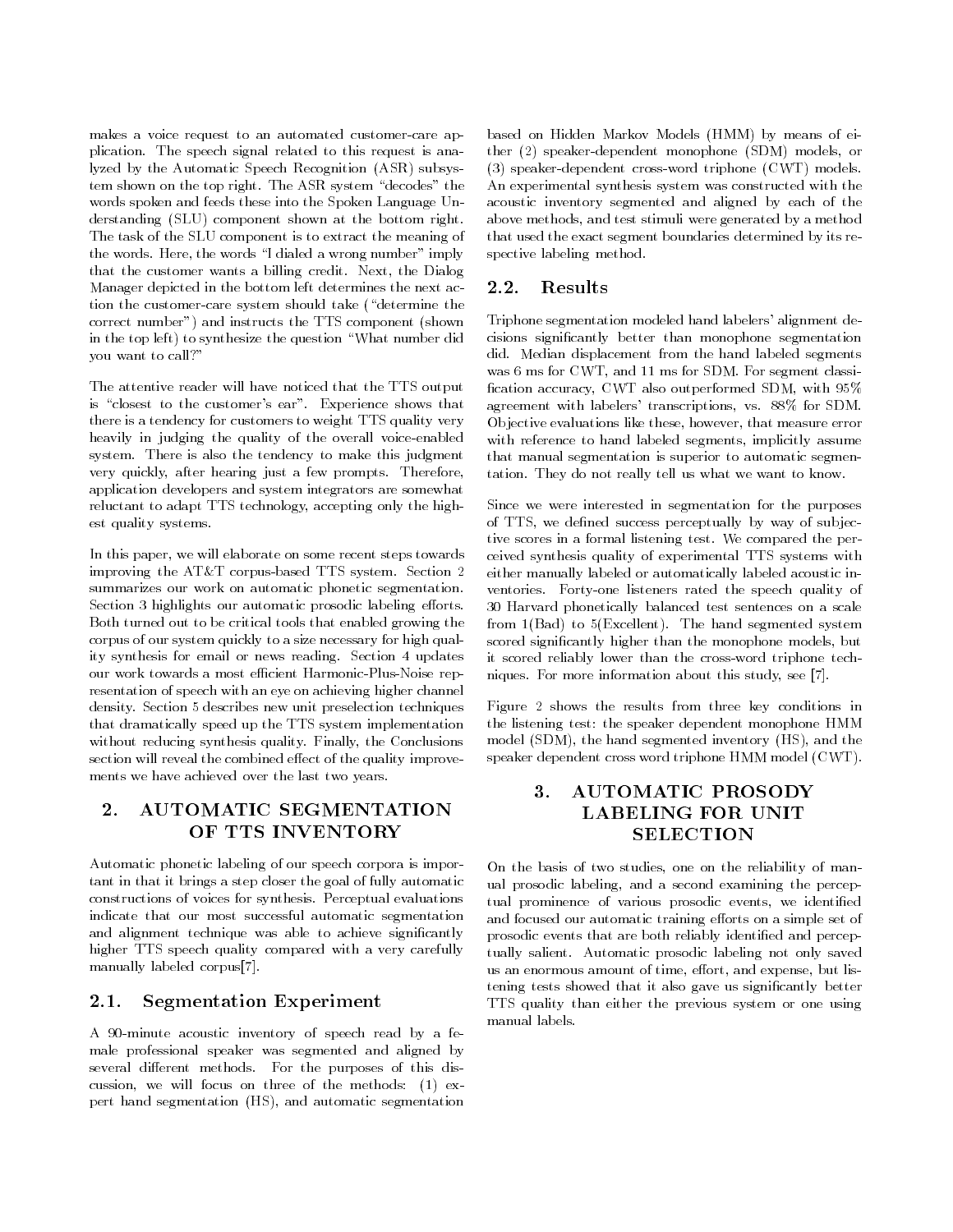makes a voice request to an automated customer-care application. The speech signal related to this request is analyzed by the Automatic Speech Recognition (ASR) subsystem shown on the top right. The ASR system \decodes" the words spoken and feeds these into the Spoken Language Understanding (SLU) component shown at the bottom right. The task of the SLU component is to extract the meaning of the words. Here, the words \I dialed a wrong number" imply that the customer wants a billing credit. Next, the Dialog Manager depicted in the bottom left determines the next action the customer-care system should take ("determine the correct number") and instructs the TTS component (shown in the top left) to synthesize the question \What number did you want to call?"

The attentive reader will have noticed that the TTS output is "closest to the customer's ear". Experience shows that there is a tendency for customers to weight TTS quality very heavily in judging the quality of the overall voice-enabled system. There is also the tendency to make this judgment very quickly, after hearing just a few prompts. Therefore, application developers and system integrators are somewhat reluctant to adapt TTS technology, accepting only the highest quality systems.

In this paper, we will elaborate on some recent steps towards improving the AT&T corpus-based TTS system. Section 2 summarizes our work on automatic phonetic segmentation. Section 3 highlights our automatic prosodic labeling efforts. Both turned out to be critical tools that enabled growing the corpus of our system quickly to a size necessary for high quality synthesis for email or news reading. Section 4 updates our work towards a most efficient Harmonic-Plus-Noise representation of speech with an eye on achieving higher channel density. Section 5 describes new unit preselection techniques that dramatically speed up the TTS system implementation without reducing synthesis quality. Finally, the Conclusions section will reveal the combined effect of the quality improvements we have achieved over the last two years.

### 2. AUTOMATIC SEGMENTATION OF TTS INVENTORY

Automatic phonetic labeling of our speech corpora is important in that it brings a step closer the goal of fully automatic constructions of voices for synthesis. Perceptual evaluations indicate that our most successful automatic segmentation and alignment technique was able to achieve signicantly higher TTS speech quality compared with a very carefully manually labeled corpus[7].

### 2.1. Segmentation Experiment

A 90-minute acoustic inventory of speech read by a female professional speaker was segmented and aligned by several different methods. For the purposes of this discussion, we will focus on three of the methods: (1) expert hand segmentation (HS), and automatic segmentation based on Hidden Markov Models (HMM) by means of either (2) speaker-dependent monophone (SDM) models, or (3) speaker-dependent cross-word triphone (CWT) models. An experimental synthesis system was constructed with the acoustic inventory segmented and aligned by each of the above methods, and test stimuli were generated by a method that used the exact segment boundaries determined by its respective labeling method.

### 2.2. Results

Triphone segmentation modeled hand labelers' alignment decisions signicantly better than monophone segmentation did. Median displacement from the hand labeled segments was 6 ms for CWT, and 11 ms for SDM. For segment classi fication accuracy, CWT also outperformed SDM, with  $95\%$ agreement with labelers' transcriptions, vs. 88% for SDM. Ob jective evaluations like these, however, that measure error with reference to hand labeled segments, implicitly assume that manual segmentation is superior to automatic segmentation. They do not really tell us what we want to know.

Since we were interested in segmentation for the purposes of TTS, we defined success perceptually by way of subjective scores in a formal listening test. We compared the perceived synthesis quality of experimental TTS systems with either manually labeled or automatically labeled acoustic inventories. Forty-one listeners rated the speech quality of 30 Harvard phonetically balanced test sentences on a scale from 1(Bad) to 5(Excellent). The hand segmented system scored signicantly higher than the monophone models, but it scored reliably lower than the cross-word triphone techniques. For more information about this study, see [7].

Figure 2 shows the results from three key conditions in the listening test: the speaker dependent monophone HMM model (SDM), the hand segmented inventory (HS), and the speaker dependent cross word triphone HMM model (CWT).

# 3. AUTOMATIC PROSODY **LABELING FOR UNIT SELECTION**

On the basis of two studies, one on the reliability of manual prosodic labeling, and a second examining the perceptual prominence of various prosodic events, we identified and focused our automatic training efforts on a simple set of prosodic events that are both reliably identied and perceptually salient. Automatic prosodic labeling not only saved us an enormous amount of time, effort, and expense, but listening tests showed that it also gave us signicantly better TTS quality than either the previous system or one using manual labels.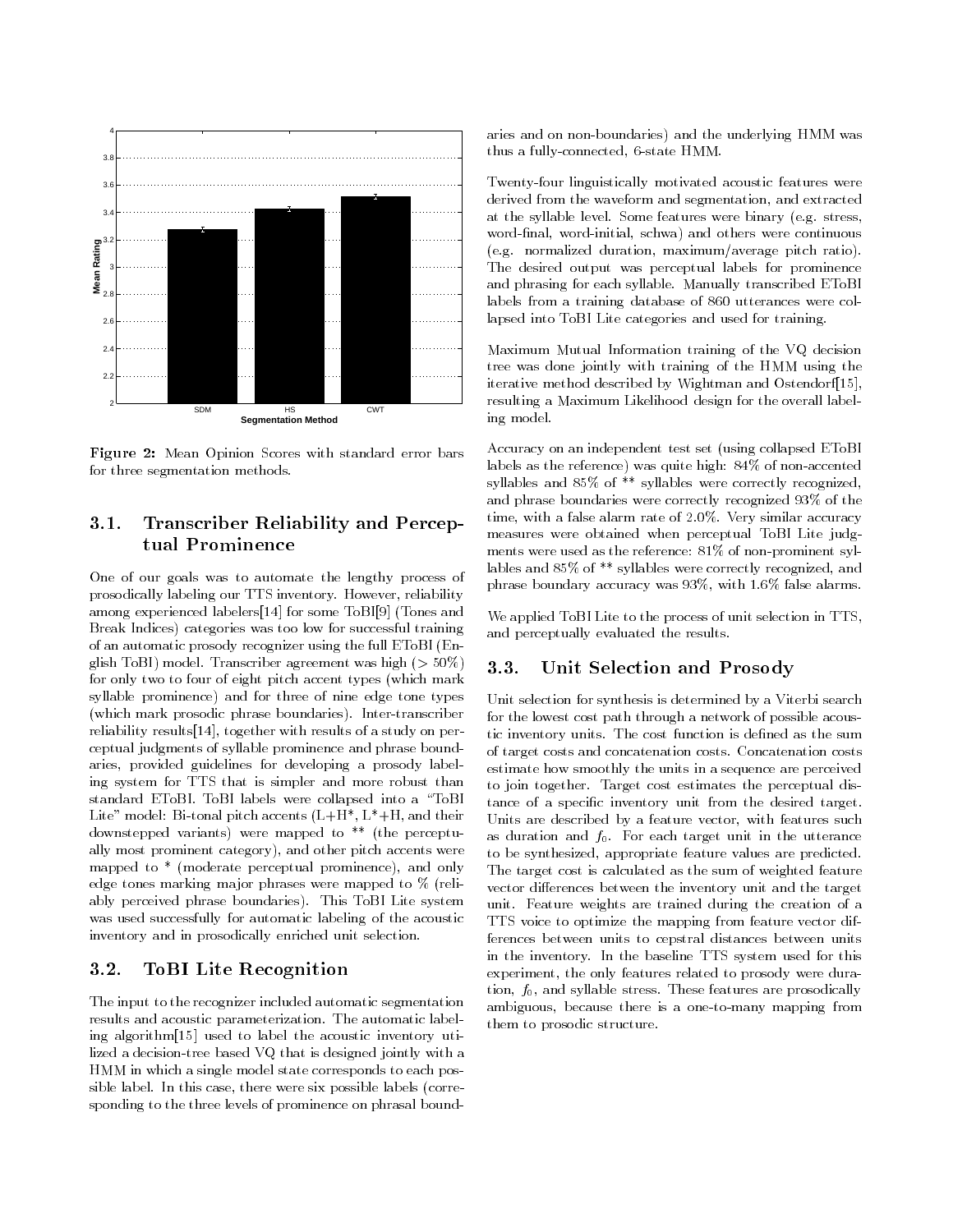

Figure 2: Mean Opinion Scores with standard error bars for three segmentation methods.

# 3.1. Transcriber Reliability and Perceptual Prominence

One of our goals was to automate the lengthy process of prosodically labeling our TTS inventory. However, reliability among experienced labelers[14 ] for some ToBI[9] (Tones and Break Indices) categories was too low for successful training of an automatic prosody recognizer using the full EToBI (English ToBI) model. Transcriber agreement was high (> 50%) for only two to four of eight pitch accent types (which mark syllable prominence) and for three of nine edge tone types (which mark prosodic phrase boundaries). Inter-transcriber reliability results [14], together with results of a study on perceptual judgments of syllable prominence and phrase boundaries, provided guidelines for developing a prosody labeling system for TTS that is simpler and more robust than standard EToBI. ToBI labels were collapsed into a \ToBI Lite" model: Bi-tonal pitch accents  $(L+H^*, L^*+H,$  and their downstepped variants) were mapped to \*\* (the perceptually most prominent category), and other pitch accents were mapped to \* (moderate perceptual prominence), and only edge tones marking major phrases were mapped to % (reliably perceived phrase boundaries). This ToBI Lite system was used successfully for automatic labeling of the acoustic inventory and in prosodically enriched unit selection.

#### $3.2.$ 3.2. ToBI Lite Recognition

The input to the recognizer included automatic segmentation results and acoustic parameterization. The automatic labeling algorithm<sup>[15]</sup> used to label the acoustic inventory utilized a decision-tree based VQ that is designed jointly with a HMM in which a single model state corresponds to each possible label. In this case, there were six possible labels (corresponding to the three levels of prominence on phrasal boundaries and on non-boundaries) and the underlying HMM was thus a fully-connected, 6-state HMM.

Twenty-four linguistically motivated acoustic features were derived from the waveform and segmentation, and extracted at the syllable level. Some features were binary (e.g. stress, word-final, word-initial, schwa) and others were continuous (e.g. normalized duration, maximum/average pitch ratio). The desired output was perceptual labels for prominence and phrasing for each syllable. Manually transcribed EToBI labels from a training database of 860 utterances were collapsed into ToBI Lite categories and used for training.

Maximum Mutual Information training of the VQ decision tree was done jointly with training of the HMM using the iterative method described by Wightman and Ostendorf[15], resulting a Maximum Likelihood design for the overall labeling model.

Accuracy on an independent test set (using collapsed EToBI labels as the reference) was quite high: 84% of non-accented syllables and 85% of \*\* syllables were correctly recognized, and phrase boundaries were correctly recognized 93% of the time, with a false alarm rate of 2.0%. Very similar accuracy measures were obtained when perceptual ToBI Lite judg ments were used as the reference: 81% of non-prominent syllables and 85% of \*\* syllables were correctly recognized, and phrase boundary accuracy was 93%, with 1.6% false alarms.

We applied ToBI Lite to the process of unit selection in TTS, and perceptually evaluated the results.

### 3.3. Unit Selection and Prosody

Unit selection for synthesis is determined by a Viterbi search for the lowest cost path through a network of possible acoustic inventory units. The cost function is defined as the sum of target costs and concatenation costs. Concatenation costs estimate how smoothly the units in a sequence are perceived to join together. Target cost estimates the perceptual distance of a specific inventory unit from the desired target. Units are described by a feature vector, with features such as duration and  $f_0$ . For each target unit in the utterance to be synthesized, appropriate feature values are predicted. The target cost is calculated as the sum of weighted feature vector differences between the inventory unit and the target unit. Feature weights are trained during the creation of a TTS voice to optimize the mapping from feature vector differences between units to cepstral distances between units in the inventory. In the baseline TTS system used for this experiment, the only features related to prosody were duration,  $f_0$ , and syllable stress. These features are prosodically ambiguous, because there is a one-to-many mapping from them to prosodic structure.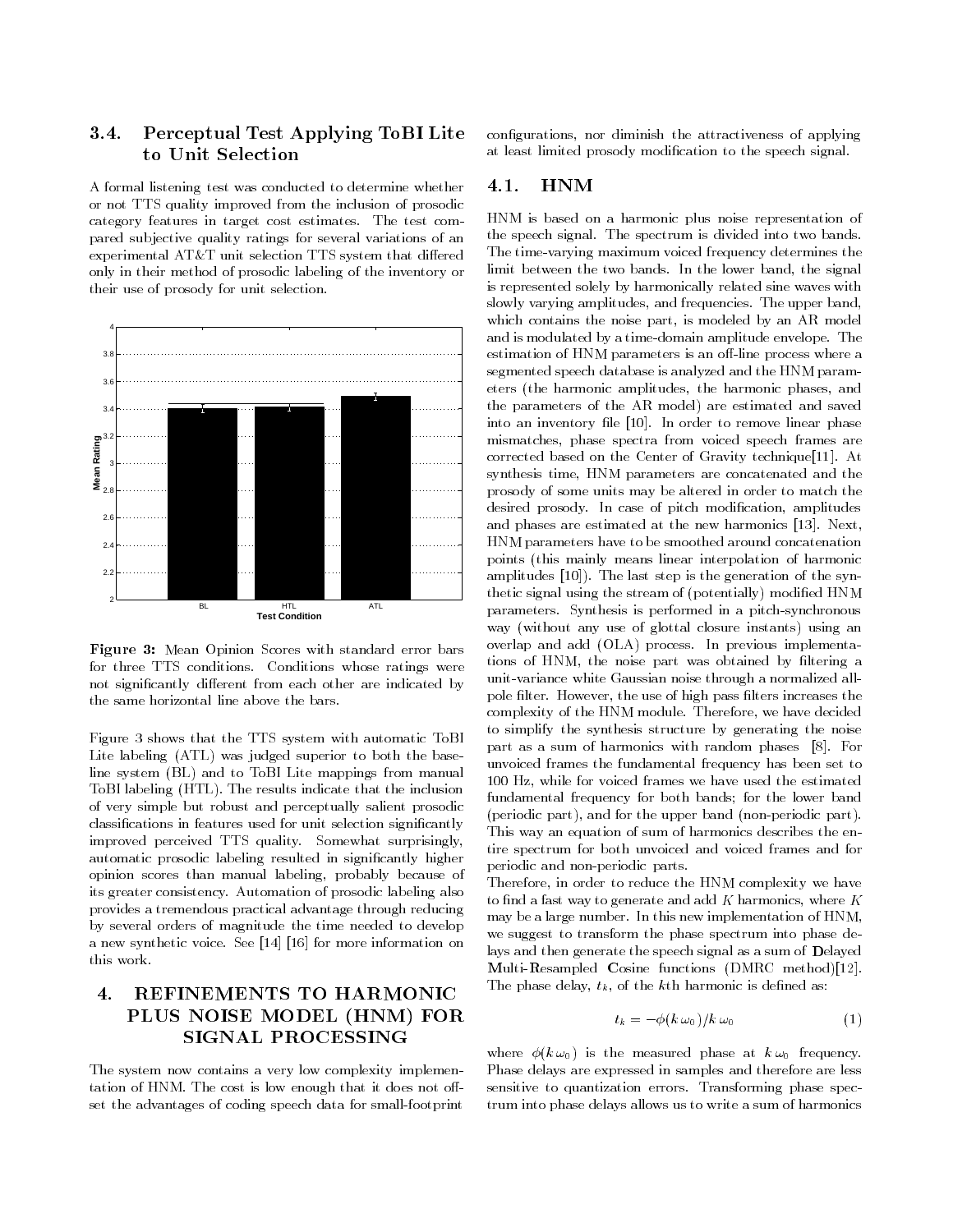### 3.4. Perceptual Test Applying ToBI Lite  $3.4.$ to Unit Selection

A formal listening test was conducted to determine whether or not TTS quality improved from the inclusion of prosodic category features in target cost estimates. The test compared sub jective quality ratings for several variations of an experimental AT&T unit selection TTS system that differed only in their method of prosodic labeling of the inventory or their use of prosody for unit selection.



Figure 3: Mean Opinion Scores with standard error bars for three TTS conditions. Conditions whose ratings were not significantly different from each other are indicated by the same horizontal line above the bars.

Figure 3 shows that the TTS system with automatic ToBI Lite labeling (ATL) was judged superior to both the baseline system (BL) and to ToBI Lite mappings from manual ToBI labeling (HTL). The results indicate that the inclusion of very simple but robust and perceptually salient prosodic classications in features used for unit selection signicantly improved perceived TTS quality. Somewhat surprisingly, automatic prosodic labeling resulted in signicantly higher opinion scores than manual labeling, probably because of its greater consistency. Automation of prosodic labeling also provides a tremendous practical advantage through reducing by several orders of magnitude the time needed to develop a new synthetic voice. See [14] [16] for more information on this work.

### 4. REFINEMENTS TO HARMONIC  $\overline{4}$ . PLUS NOISE MODEL (HNM) FOR **SIGNAL PROCESSING**

The system now contains a very low complexity implementation of HNM. The cost is low enough that it does not offset the advantages of coding speech data for small-footprint congurations, nor diminish the attractiveness of applying at least limited prosody modication to the speech signal.

#### $\mathbf{4.1}.$  $HNM$

HNM is based on a harmonic plus noise representation of the speech signal. The spectrum is divided into two bands. The time-varying maximum voiced frequency determines the limit between the two bands. In the lower band, the signal is represented solely by harmonically related sine waves with slowly varying amplitudes, and frequencies. The upper band, which contains the noise part, is modeled by an AR model and is modulated by a time-domain amplitude envelope. The and is modulated by a time-domain amplitude envelope. The estimation of HNM parameters is an off-line process where a segmented speech database is analyzed and the HNM parameters (the harmonic amplitudes, the harmonic phases, and the parameters of the AR model) are estimated and saved into an inventory file [10]. In order to remove linear phase mismatches, phase spectra from voiced speech frames are corrected based on the Center of Gravity technique<sup>[11]</sup>. At synthesis time, HNM parameters are concatenated and the prosody of some units may be altered in order to match the desired prosody. In case of pitch modication, amplitudes and phases are estimated at the new harmonics [13]. Next, HNM parameters have to be smoothed around concatenation points (this mainly means linear interpolation of harmonic amplitudes [10]). The last step is the generation of the synthetic signal using the stream of (potentially) modied HNM parameters. Synthesis is performed in a pitch-synchronous way (without any use of glottal closure instants) using an overlap and add (OLA) process. In previous implementations of HNM, the noise part was obtained by filtering a unit-variance white Gaussian noise through a normalized allpole filter. However, the use of high pass filters increases the complexity of the HNM module. Therefore, we have decided to simplify the synthesis structure by generating the noise part as a sum of harmonics with random phases [8]. For unvoiced frames the fundamental frequency has been set to 100 Hz, while for voiced frames we have used the estimated fundamental frequency for both bands; for the lower band (periodic part), and for the upper band (non-periodic part). This way an equation of sum of harmonics describes the entire spectrum for both unvoiced and voiced frames and for periodic and non-periodic parts.

Therefore, in order to reduce the HNM complexity we have to find a fast way to generate and add  $K$  harmonics, where  $K$ may be a large number. In this new implementation of HNM, we suggest to transform the phase spectrum into phase delays and then generate the speech signal as a sum of Delayed  $\mathbf M$ ulti- $\mathbf R$ esampled  $\mathbf C$ osine functions (DMRC method)[12]. The phase delay,  $t_k$ , of the kth harmonic is defined as:

$$
t_k = -\phi(k \,\omega_0)/k \,\omega_0 \tag{1}
$$

where  $\phi(k \omega_0)$  is the measured phase at  $k \omega_0$  frequency. Phase delays are expressed in samples and therefore are less sensitive to quantization errors. Transforming phase spectrum into phase delays allows us to write a sum of harmonics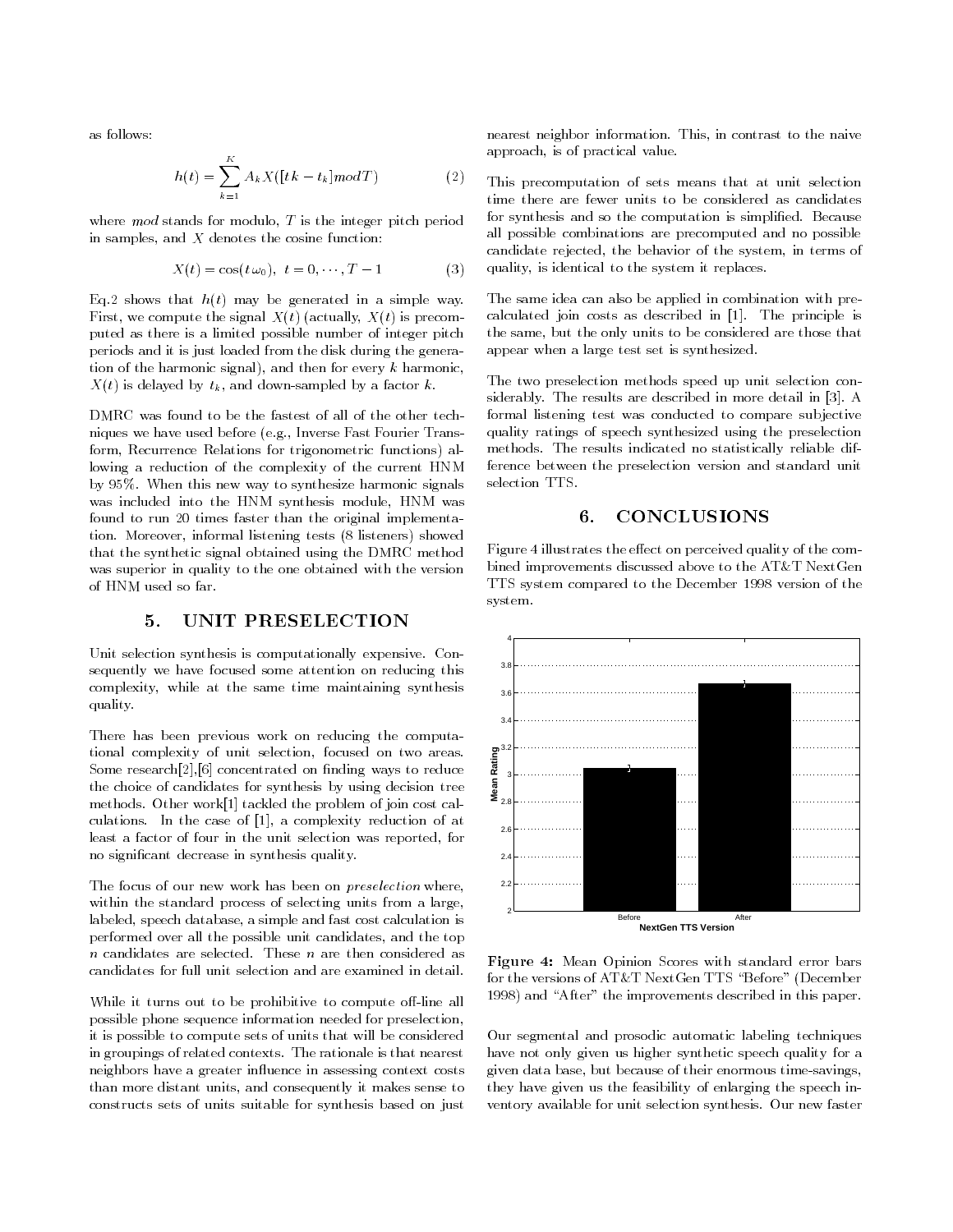as follows:

$$
h(t) = \sum_{k=1}^{K} A_k X([tk - t_k] \operatorname{mod} T)
$$
 (2)

where  $mod$  stands for modulo,  $T$  is the integer pitch period in samples, and  $X$  denotes the cosine function:

$$
X(t) = \cos(t \,\omega_0), \ t = 0, \cdots, T - 1 \tag{3}
$$

Eq.2 shows that  $h(t)$  may be generated in a simple way. First, we compute the signal  $X(t)$  (actually,  $X(t)$  is precomputed as there is a limited possible number of integer pitch periods and it is just loaded from the disk during the generation of the harmonic signal), and then for every k harmonic,  $X(t)$  is delayed by  $t_k$ , and down-sampled by a factor k.

DMRC was found to be the fastest of all of the other techniques we have used before (e.g., Inverse Fast Fourier Transform, Recurrence Relations for trigonometric functions) allowing a reduction of the complexity of the current HNM by 95%. When this new way to synthesize harmonic signals was included into the HNM synthesis module, HNM was found to run 20 times faster than the original implementation. Moreover, informal listening tests (8 listeners) showed that the synthetic signal obtained using the DMRC method was superior in quality to the one obtained with the version of HNM used so far.

#### UNIT PRESELECTION  $5<sub>1</sub>$

Unit selection synthesis is computationally expensive. Consequently we have focused some attention on reducing this complexity, while at the same time maintaining synthesis quality.

There has been previous work on reducing the computational complexity of unit selection, focused on two areas. Some  $res\text{each}[2],[6]$  concentrated on finding ways to reduce the choice of candidates for synthesis by using decision tree methods. Other work[1] tackled the problem of join cost calculations. In the case of [1], a complexity reduction of at least a factor of four in the unit selection was reported, for no signicant decrease in synthesis quality.

The focus of our new work has been on *preselection* where, within the standard process of selecting units from a large, labeled, speech database, a simple and fast cost calculation is performed over all the possible unit candidates, and the top  $n$  candidates are selected. These  $n$  are then considered as candidates for full unit selection and are examined in detail.

While it turns out to be prohibitive to compute off-line all possible phone sequence information needed for preselection, it is possible to compute sets of units that will be considered in groupings of related contexts. The rationale is that nearest neighbors have a greater influence in assessing context costs than more distant units, and consequently it makes sense to constructs sets of units suitable for synthesis based on just

nearest neighbor information. This, in contrast to the naive approach, is of practical value.

This precomputation of sets means that at unit selection time there are fewer units to be considered as candidates for synthesis and so the computation is simplied. Because all possible combinations are precomputed and no possible candidate rejected, the behavior of the system, in terms of quality, is identical to the system it replaces.

The same idea can also be applied in combination with precalculated join costs as described in [1]. The principle is the same, but the only units to be considered are those that appear when a large test set is synthesized.

The two preselection methods speed up unit selection considerably. The results are described in more detail in [3]. A formal listening test was conducted to compare sub jective quality ratings of speech synthesized using the preselection methods. The results indicated no statistically reliable difference between the preselection version and standard unit selection TTS.

#### **CONCLUSIONS** 6.

Figure 4 illustrates the effect on perceived quality of the combined improvements discussed above to the AT&T NextGen TTS system compared to the December 1998 version of the system.



Figure 4: Mean Opinion Scores with standard error bars for the versions of AT&T NextGen TTS "Before" (December 1998) and "After" the improvements described in this paper.

Our segmental and prosodic automatic labeling techniques have not only given us higher synthetic speech quality for a given data base, but because of their enormous time-savings, they have given us the feasibility of enlarging the speech inventory available for unit selection synthesis. Our new faster